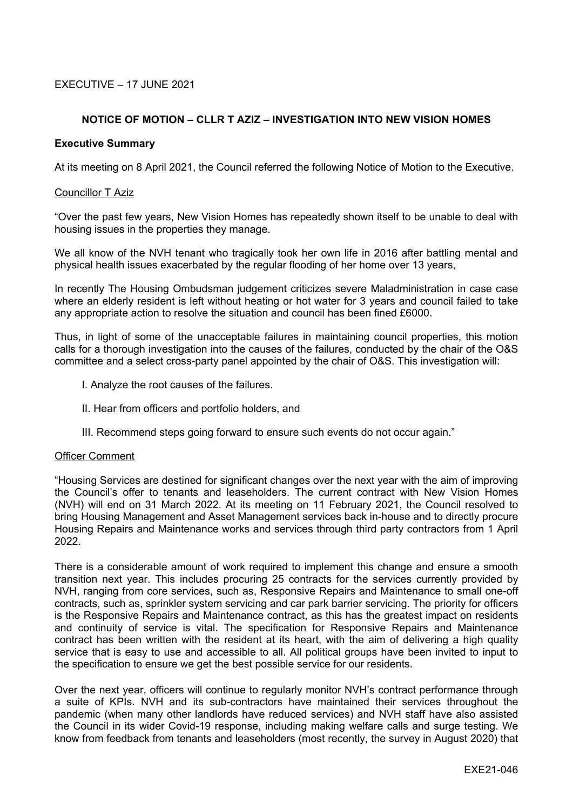# EXECUTIVE – 17 JUNE 2021

## **NOTICE OF MOTION – CLLR T AZIZ – INVESTIGATION INTO NEW VISION HOMES**

### **Executive Summary**

At its meeting on 8 April 2021, the Council referred the following Notice of Motion to the Executive.

### Councillor T Aziz

"Over the past few years, New Vision Homes has repeatedly shown itself to be unable to deal with housing issues in the properties they manage.

We all know of the NVH tenant who tragically took her own life in 2016 after battling mental and physical health issues exacerbated by the regular flooding of her home over 13 years,

In recently The Housing Ombudsman judgement criticizes severe Maladministration in case case where an elderly resident is left without heating or hot water for 3 years and council failed to take any appropriate action to resolve the situation and council has been fined £6000.

Thus, in light of some of the unacceptable failures in maintaining council properties, this motion calls for a thorough investigation into the causes of the failures, conducted by the chair of the O&S committee and a select cross-party panel appointed by the chair of O&S. This investigation will:

- I. Analyze the root causes of the failures.
- II. Hear from officers and portfolio holders, and
- III. Recommend steps going forward to ensure such events do not occur again."

#### Officer Comment

"Housing Services are destined for significant changes over the next year with the aim of improving the Council's offer to tenants and leaseholders. The current contract with New Vision Homes (NVH) will end on 31 March 2022. At its meeting on 11 February 2021, the Council resolved to bring Housing Management and Asset Management services back in-house and to directly procure Housing Repairs and Maintenance works and services through third party contractors from 1 April 2022.

There is a considerable amount of work required to implement this change and ensure a smooth transition next year. This includes procuring 25 contracts for the services currently provided by NVH, ranging from core services, such as, Responsive Repairs and Maintenance to small one-off contracts, such as, sprinkler system servicing and car park barrier servicing. The priority for officers is the Responsive Repairs and Maintenance contract, as this has the greatest impact on residents and continuity of service is vital. The specification for Responsive Repairs and Maintenance contract has been written with the resident at its heart, with the aim of delivering a high quality service that is easy to use and accessible to all. All political groups have been invited to input to the specification to ensure we get the best possible service for our residents.

Over the next year, officers will continue to regularly monitor NVH's contract performance through a suite of KPIs. NVH and its sub-contractors have maintained their services throughout the pandemic (when many other landlords have reduced services) and NVH staff have also assisted the Council in its wider Covid-19 response, including making welfare calls and surge testing. We know from feedback from tenants and leaseholders (most recently, the survey in August 2020) that